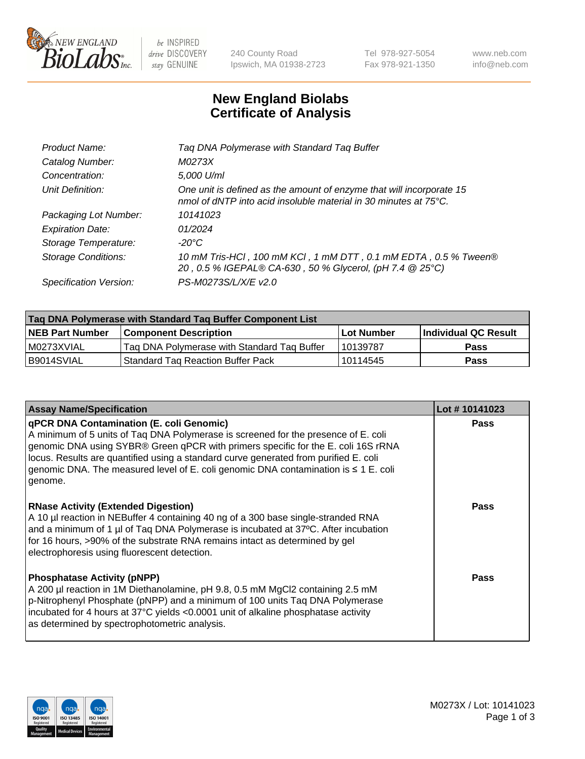

 $be$  INSPIRED drive DISCOVERY stay GENUINE

240 County Road Ipswich, MA 01938-2723 Tel 978-927-5054 Fax 978-921-1350 www.neb.com info@neb.com

## **New England Biolabs Certificate of Analysis**

| Tag DNA Polymerase with Standard Tag Buffer                                                                                              |
|------------------------------------------------------------------------------------------------------------------------------------------|
| M0273X                                                                                                                                   |
| 5,000 U/ml                                                                                                                               |
| One unit is defined as the amount of enzyme that will incorporate 15<br>nmol of dNTP into acid insoluble material in 30 minutes at 75°C. |
| 10141023                                                                                                                                 |
| 01/2024                                                                                                                                  |
| $-20^{\circ}$ C                                                                                                                          |
| 10 mM Tris-HCl, 100 mM KCl, 1 mM DTT, 0.1 mM EDTA, 0.5 % Tween®<br>20, 0.5 % IGEPAL® CA-630, 50 % Glycerol, (pH 7.4 @ 25°C)              |
| PS-M0273S/L/X/E v2.0                                                                                                                     |
|                                                                                                                                          |

| Tag DNA Polymerase with Standard Tag Buffer Component List |                                             |                   |                      |  |  |
|------------------------------------------------------------|---------------------------------------------|-------------------|----------------------|--|--|
| <b>NEB Part Number</b>                                     | <b>Component Description</b>                | <b>Lot Number</b> | Individual QC Result |  |  |
| M0273XVIAL                                                 | Tag DNA Polymerase with Standard Tag Buffer | 10139787          | <b>Pass</b>          |  |  |
| B9014SVIAL                                                 | <b>Standard Tag Reaction Buffer Pack</b>    | 10114545          | <b>Pass</b>          |  |  |

| <b>Assay Name/Specification</b>                                                                                                                                                                                                                                                                                                                                                                               | Lot #10141023 |
|---------------------------------------------------------------------------------------------------------------------------------------------------------------------------------------------------------------------------------------------------------------------------------------------------------------------------------------------------------------------------------------------------------------|---------------|
| qPCR DNA Contamination (E. coli Genomic)<br>A minimum of 5 units of Taq DNA Polymerase is screened for the presence of E. coli<br>genomic DNA using SYBR® Green qPCR with primers specific for the E. coli 16S rRNA<br>locus. Results are quantified using a standard curve generated from purified E. coli<br>genomic DNA. The measured level of E. coli genomic DNA contamination is ≤ 1 E. coli<br>genome. | <b>Pass</b>   |
| <b>RNase Activity (Extended Digestion)</b><br>A 10 µl reaction in NEBuffer 4 containing 40 ng of a 300 base single-stranded RNA<br>and a minimum of 1 µl of Taq DNA Polymerase is incubated at 37°C. After incubation<br>for 16 hours, >90% of the substrate RNA remains intact as determined by gel<br>electrophoresis using fluorescent detection.                                                          | <b>Pass</b>   |
| <b>Phosphatase Activity (pNPP)</b><br>A 200 µl reaction in 1M Diethanolamine, pH 9.8, 0.5 mM MgCl2 containing 2.5 mM<br>p-Nitrophenyl Phosphate (pNPP) and a minimum of 100 units Taq DNA Polymerase<br>incubated for 4 hours at 37°C yields <0.0001 unit of alkaline phosphatase activity<br>as determined by spectrophotometric analysis.                                                                   | Pass          |

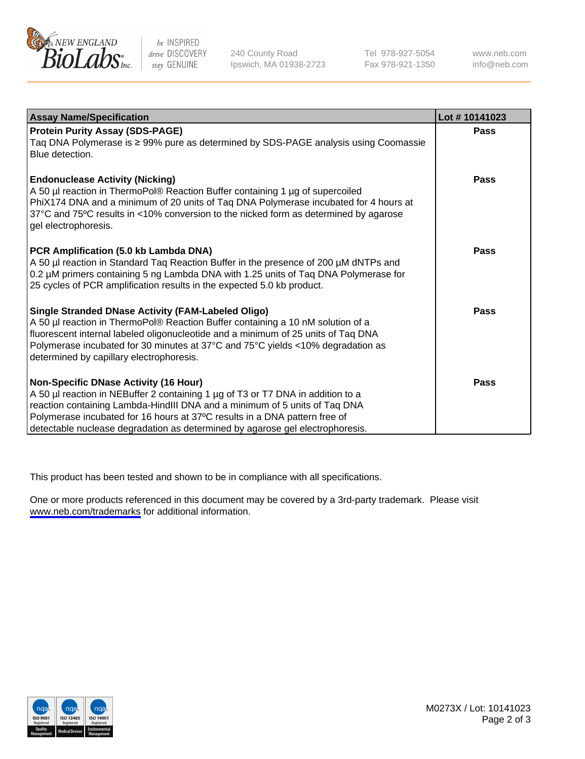

be INSPIRED drive DISCOVERY stay GENUINE

240 County Road Ipswich, MA 01938-2723 Tel 978-927-5054 Fax 978-921-1350

www.neb.com info@neb.com

| <b>Assay Name/Specification</b>                                                                                                                                                                                                                                                                                                                                              | Lot #10141023 |
|------------------------------------------------------------------------------------------------------------------------------------------------------------------------------------------------------------------------------------------------------------------------------------------------------------------------------------------------------------------------------|---------------|
| <b>Protein Purity Assay (SDS-PAGE)</b><br>Taq DNA Polymerase is ≥ 99% pure as determined by SDS-PAGE analysis using Coomassie<br>Blue detection.                                                                                                                                                                                                                             | <b>Pass</b>   |
| <b>Endonuclease Activity (Nicking)</b><br>A 50 µl reaction in ThermoPol® Reaction Buffer containing 1 µg of supercoiled<br>PhiX174 DNA and a minimum of 20 units of Taq DNA Polymerase incubated for 4 hours at<br>37°C and 75°C results in <10% conversion to the nicked form as determined by agarose<br>gel electrophoresis.                                              | <b>Pass</b>   |
| PCR Amplification (5.0 kb Lambda DNA)<br>A 50 µl reaction in Standard Taq Reaction Buffer in the presence of 200 µM dNTPs and<br>0.2 µM primers containing 5 ng Lambda DNA with 1.25 units of Taq DNA Polymerase for<br>25 cycles of PCR amplification results in the expected 5.0 kb product.                                                                               | Pass          |
| <b>Single Stranded DNase Activity (FAM-Labeled Oligo)</b><br>A 50 µl reaction in ThermoPol® Reaction Buffer containing a 10 nM solution of a<br>fluorescent internal labeled oligonucleotide and a minimum of 25 units of Taq DNA<br>Polymerase incubated for 30 minutes at 37°C and 75°C yields <10% degradation as<br>determined by capillary electrophoresis.             | <b>Pass</b>   |
| <b>Non-Specific DNase Activity (16 Hour)</b><br>A 50 µl reaction in NEBuffer 2 containing 1 µg of T3 or T7 DNA in addition to a<br>reaction containing Lambda-HindIII DNA and a minimum of 5 units of Taq DNA<br>Polymerase incubated for 16 hours at 37°C results in a DNA pattern free of<br>detectable nuclease degradation as determined by agarose gel electrophoresis. | Pass          |

This product has been tested and shown to be in compliance with all specifications.

One or more products referenced in this document may be covered by a 3rd-party trademark. Please visit <www.neb.com/trademarks>for additional information.